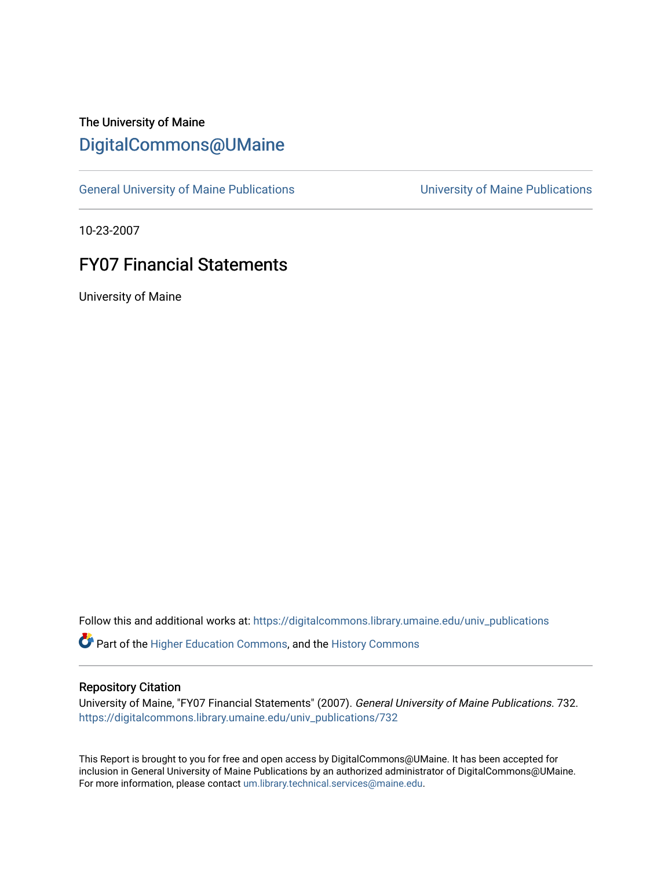## The University of Maine [DigitalCommons@UMaine](https://digitalcommons.library.umaine.edu/)

[General University of Maine Publications](https://digitalcommons.library.umaine.edu/univ_publications) [University of Maine Publications](https://digitalcommons.library.umaine.edu/umaine_publications) 

10-23-2007

## FY07 Financial Statements

University of Maine

Follow this and additional works at: [https://digitalcommons.library.umaine.edu/univ\\_publications](https://digitalcommons.library.umaine.edu/univ_publications?utm_source=digitalcommons.library.umaine.edu%2Funiv_publications%2F732&utm_medium=PDF&utm_campaign=PDFCoverPages) 

Part of the [Higher Education Commons,](http://network.bepress.com/hgg/discipline/1245?utm_source=digitalcommons.library.umaine.edu%2Funiv_publications%2F732&utm_medium=PDF&utm_campaign=PDFCoverPages) and the [History Commons](http://network.bepress.com/hgg/discipline/489?utm_source=digitalcommons.library.umaine.edu%2Funiv_publications%2F732&utm_medium=PDF&utm_campaign=PDFCoverPages)

## Repository Citation

University of Maine, "FY07 Financial Statements" (2007). General University of Maine Publications. 732. [https://digitalcommons.library.umaine.edu/univ\\_publications/732](https://digitalcommons.library.umaine.edu/univ_publications/732?utm_source=digitalcommons.library.umaine.edu%2Funiv_publications%2F732&utm_medium=PDF&utm_campaign=PDFCoverPages) 

This Report is brought to you for free and open access by DigitalCommons@UMaine. It has been accepted for inclusion in General University of Maine Publications by an authorized administrator of DigitalCommons@UMaine. For more information, please contact [um.library.technical.services@maine.edu](mailto:um.library.technical.services@maine.edu).